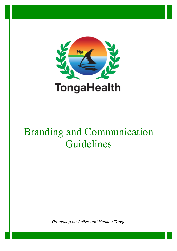

# Branding and Communication Guidelines

*Promoting an Active and Healthy Tonga*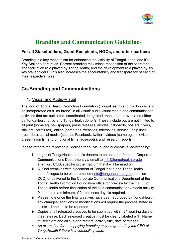

# **Branding and Communication Guidelines**

#### **For all Stakeholders, Grant Recipients, NGOs, and other partners**

Branding is a key mechanism for enhancing the visibility of TongaHealth, and it's Key Stakeholders roles. Correct branding maximises recognition of the secretariat and facilitation role played by TongaHealth, and the development role played by it's key stakeholders. This also increases the accountability and transparency of each of their respective roles.

## **Co-Branding and Communications**

#### 1. Visual and Audio-Visual

The logo of Tonga Health Promotion Foundation (TongaHealth) and it's donor/s is to be incorporated as a "co-brand" in all visual/ audio visual media and communication activities that are facilitated, coordinated, integrated, monitored or evaluated either by TongaHealth or by any TongaHealth donor/s. These include but are not limited to all print (some eg. newspapers, press releases, articles, billboards, posters, flyers, stickers, coreflutes), online (some egs. websites, microsites, service / help lines (recorded), social media (such as Facebook, twitter), videos (some egs. television, presentation films, promotional films, ads/spots), and research reports.

Please refer to the following guidelines for all visual and audio-visual co-branding:

- i. Logos of TongaHealth and it's donor/s to be obtained from the Corporate Communications Department via email to [info@tongahealth.org.to](mailto:info@tongahealth.org.to) attention: CCD, specifying the medium that it will be used on.
- ii. All final creatives with placement of TongaHealth and TongaHealth donor/s logos to be either emailed [\(info@tongahealth.org.to](mailto:info@tongahealth.org.to) attention CCD) or delivered to the Corporate Communications Department at the Tonga Health Promotion Foundation office for preview by the C.E.O. of TongaHealth before finalisation of the said communication / media activity. Please note a minimum of 21 business days is required.
- iii. Please note once the final creatives have been approved by TongaHealth any changes, additions or modifications will require the process stated in points 1.i and 1.ii to be repeated.
- iv. Copies of all released creatives to be submitted within 21 working days of their release. Each released creative must be clearly labeled with: Name of Recipient and all sub-contractors, activity title, date of release.
- *v. An exemption for not applying branding may be granted by the CEO of TongaHealth if there is a compelling case.*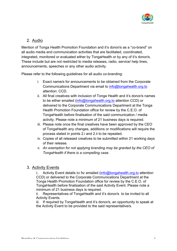

#### 2. Audio

Mention of Tonga Health Promotion Foundation and it's donor/s as a "co-brand" on all audio media and communication activities that are facilitated, coordinated, integrated, monitored or evaluated either by TongaHealth or by any of it's donor/s. These include but are not restricted to media releases, radio, service/ help lines, announcements, speeches or any other audio activity.

Please refer to the following guidelines for all audio co-branding:

- i. Exact name/s for announcements to be obtained from the Corporate Communications Department via email to [info@tongahealth.org.to](mailto:info@tongahealth.org.to) attention: CCD.
- ii. All final creatives with inclusion of Tonga Health and it's donor/s names to be either emailed ([info@tongahealth.org.to](mailto:info@tongahealth.org.to) attention CCD) or delivered to the Corporate Communications Department at the Tonga Health Promotion Foundation office for review by the C.E.O. of TongaHealth before finalisation of the said communication / media activity. Please note a minimum of 21 business days is required.
- iii. Please note once the final creatives have been approved by the CEO of TongaHealth any changes, additions or modifications will require the process stated in points 2.i and 2.ii to be repeated.
- iv. Copies of all released creatives to be submitted within 21 working days of their release.
- *v. An exemption for not applying branding may be granted by the CEO of TongaHealth if there is a compelling case.*

#### 3. Activity Events

i. Activity Event details to be emailed [\(info@tongahealth.org.to](mailto:info@tongahealth.org.to) attention CCD) or delivered to the Corporate Communications Department at the Tonga Health Promotion Foundation office for review by the C.E.O. of TongaHealth before finalisation of the said Activity Event. Please note a minimum of 21 business days is required.

ii. Representatives of TongaHealth and it's donor/s to be invited to all Activity Events.

iii. If required by TongaHealth and it's donor/s, an opportunity to speak at the Activity Event to be provided to the said representative/s.